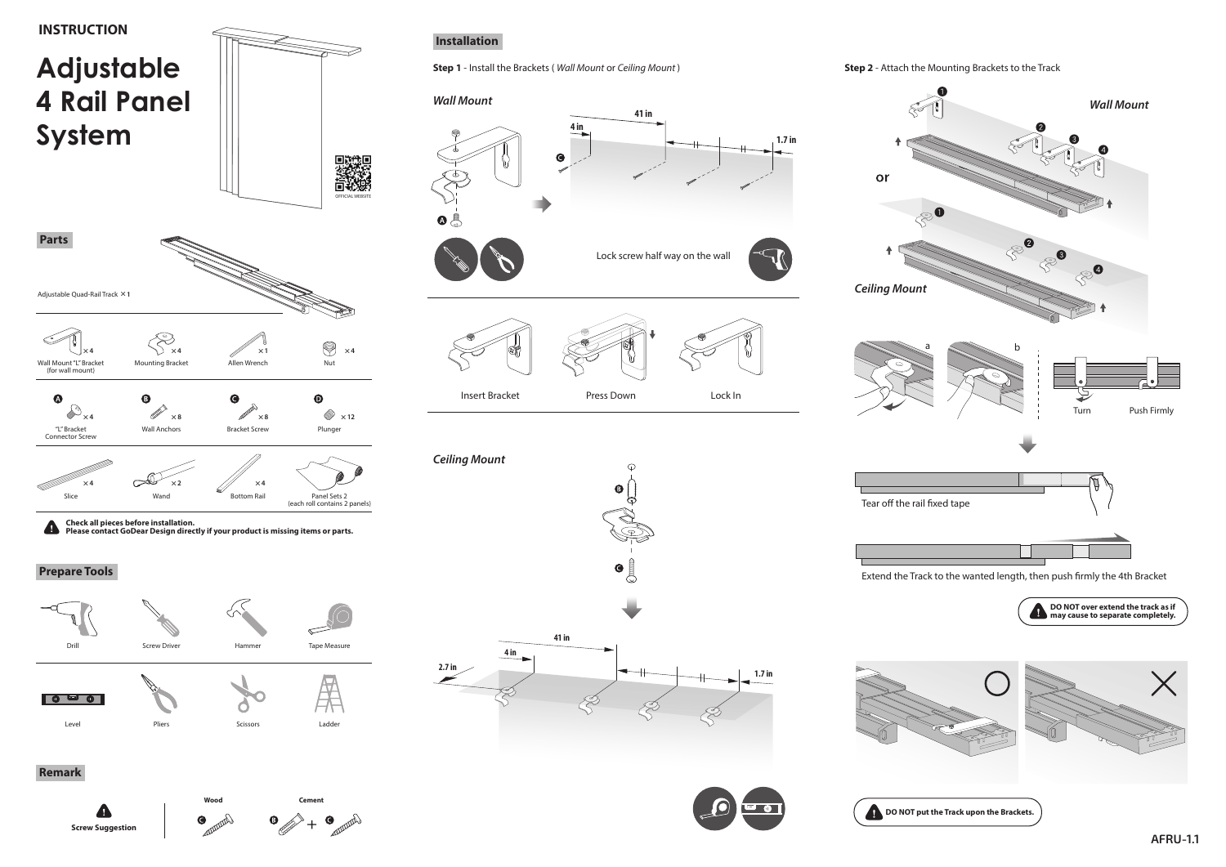

**AFRU-1.1**